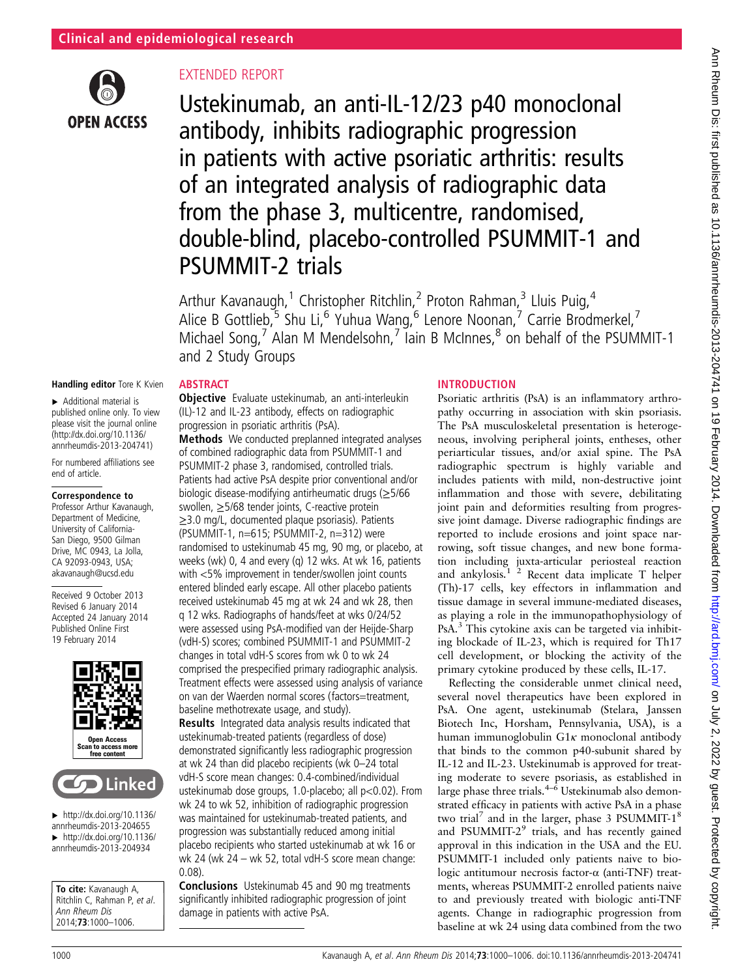

# EXTENDED REPORT

Ustekinumab, an anti-IL-12/23 p40 monoclonal antibody, inhibits radiographic progression in patients with active psoriatic arthritis: results of an integrated analysis of radiographic data from the phase 3, multicentre, randomised, double-blind, placebo-controlled PSUMMIT-1 and PSUMMIT-2 trials

Arthur Kavanaugh,<sup>1</sup> Christopher Ritchlin,<sup>2</sup> Proton Rahman,<sup>3</sup> Lluis Puig,<sup>4</sup> Alice B Gottlieb,<sup>5</sup> Shu Li,<sup>6</sup> Yuhua Wang,<sup>6</sup> Lenore Noonan,<sup>7</sup> Carrie Brodmerkel,<sup>7</sup> Michael Song,<sup>7</sup> Alan M Mendelsohn,<sup>7</sup> lain B McInnes,<sup>8</sup> on behalf of the PSUMMIT-1 and 2 Study Groups

## Handling editor Tore K Kvien

▸ Additional material is published online only. To view please visit the journal online [\(http://dx.doi.org/10.1136/](http://dx.doi.org/10.1136/annrheumdis-2013-204741) [annrheumdis-2013-204741\)](http://dx.doi.org/10.1136/annrheumdis-2013-204741)

For numbered affiliations see end of article.

#### Correspondence to

Professor Arthur Kavanaugh, Department of Medicine, University of California-San Diego, 9500 Gilman Drive, MC 0943, La Jolla, CA 92093-0943, USA; akavanaugh@ucsd.edu

Received 9 October 2013 Revised 6 January 2014 Accepted 24 January 2014 Published Online First 19 February 2014





 $\blacktriangleright$  [http://dx.doi.org/10.1136/](http://dx.doi.org/10.1136/annrheumdis-2013-204655) [annrheumdis-2013-204655](http://dx.doi.org/10.1136/annrheumdis-2013-204655)  $\blacktriangleright$  [http://dx.doi.org/10.1136/](http://dx.doi.org/10.1136/annrheumdis-2013-204934) [annrheumdis-2013-204934](http://dx.doi.org/10.1136/annrheumdis-2013-204934)

To cite: Kavanaugh A. Ritchlin C, Rahman P, et al. Ann Rheum Dis 2014;73:1000–1006.

# **ABSTRACT**

Objective Evaluate ustekinumab, an anti-interleukin (IL)-12 and IL-23 antibody, effects on radiographic progression in psoriatic arthritis (PsA).

Methods We conducted preplanned integrated analyses of combined radiographic data from PSUMMIT-1 and PSUMMIT-2 phase 3, randomised, controlled trials. Patients had active PsA despite prior conventional and/or biologic disease-modifying antirheumatic drugs (≥5/66 swollen, ≥5/68 tender joints, C-reactive protein ≥3.0 mg/L, documented plaque psoriasis). Patients (PSUMMIT-1, n=615; PSUMMIT-2, n=312) were randomised to ustekinumab 45 mg, 90 mg, or placebo, at weeks (wk) 0, 4 and every (q) 12 wks. At wk 16, patients with <5% improvement in tender/swollen joint counts entered blinded early escape. All other placebo patients received ustekinumab 45 mg at wk 24 and wk 28, then q 12 wks. Radiographs of hands/feet at wks 0/24/52 were assessed using PsA-modified van der Heijde-Sharp (vdH-S) scores; combined PSUMMIT-1 and PSUMMIT-2 changes in total vdH-S scores from wk 0 to wk 24 comprised the prespecified primary radiographic analysis. Treatment effects were assessed using analysis of variance on van der Waerden normal scores (factors=treatment, baseline methotrexate usage, and study).

Results Integrated data analysis results indicated that ustekinumab-treated patients (regardless of dose) demonstrated significantly less radiographic progression at wk 24 than did placebo recipients (wk 0–24 total vdH-S score mean changes: 0.4-combined/individual ustekinumab dose groups, 1.0-placebo; all p<0.02). From wk 24 to wk 52, inhibition of radiographic progression was maintained for ustekinumab-treated patients, and progression was substantially reduced among initial placebo recipients who started ustekinumab at wk 16 or wk 24 (wk 24 – wk 52, total vdH-S score mean change: 0.08).

Conclusions Ustekinumab 45 and 90 mg treatments significantly inhibited radiographic progression of joint damage in patients with active PsA.

## INTRODUCTION

Psoriatic arthritis (PsA) is an inflammatory arthropathy occurring in association with skin psoriasis. The PsA musculoskeletal presentation is heterogeneous, involving peripheral joints, entheses, other periarticular tissues, and/or axial spine. The PsA radiographic spectrum is highly variable and includes patients with mild, non-destructive joint inflammation and those with severe, debilitating joint pain and deformities resulting from progressive joint damage. Diverse radiographic findings are reported to include erosions and joint space narrowing, soft tissue changes, and new bone formation including juxta-articular periosteal reaction and ankylosis. $1^{2}$  Recent data implicate T helper (Th)-17 cells, key effectors in inflammation and tissue damage in several immune-mediated diseases, as playing a role in the immunopathophysiology of PsA.<sup>3</sup> This cytokine axis can be targeted via inhibiting blockade of IL-23, which is required for Th17 cell development, or blocking the activity of the primary cytokine produced by these cells, IL-17.

Reflecting the considerable unmet clinical need, several novel therapeutics have been explored in PsA. One agent, ustekinumab (Stelara, Janssen Biotech Inc, Horsham, Pennsylvania, USA), is a human immunoglobulin G1κ monoclonal antibody that binds to the common p40-subunit shared by IL-12 and IL-23. Ustekinumab is approved for treating moderate to severe psoriasis, as established in large phase three trials. $4-6$  Ustekinumab also demonstrated efficacy in patients with active PsA in a phase two trial<sup>7</sup> and in the larger, phase 3 PSUMMIT-1<sup>8</sup> and PSUMMIT-2<sup>9</sup> trials, and has recently gained approval in this indication in the USA and the EU. PSUMMIT-1 included only patients naive to biologic antitumour necrosis factor-α (anti-TNF) treatments, whereas PSUMMIT-2 enrolled patients naive to and previously treated with biologic anti-TNF agents. Change in radiographic progression from baseline at wk 24 using data combined from the two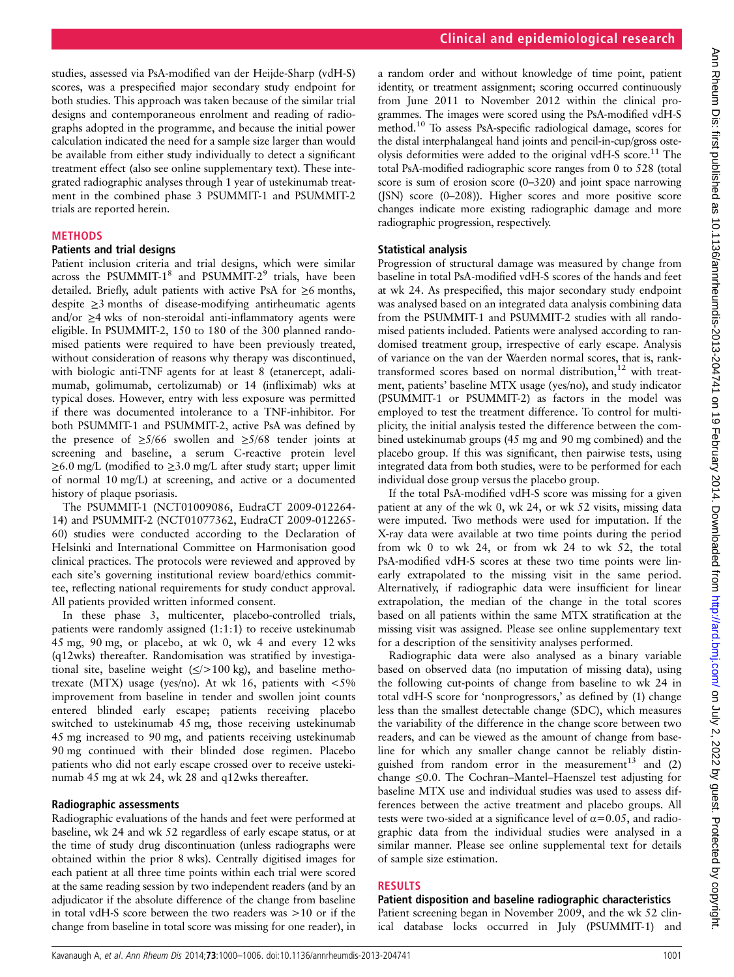studies, assessed via PsA-modified van der Heijde-Sharp (vdH-S) scores, was a prespecified major secondary study endpoint for both studies. This approach was taken because of the similar trial designs and contemporaneous enrolment and reading of radiographs adopted in the programme, and because the initial power calculation indicated the need for a sample size larger than would be available from either study individually to detect a significant treatment effect (also see online supplementary text). These integrated radiographic analyses through 1 year of ustekinumab treatment in the combined phase 3 PSUMMIT-1 and PSUMMIT-2 trials are reported herein.

#### **METHODS**

#### Patients and trial designs

Patient inclusion criteria and trial designs, which were similar across the PSUMMIT-1 $^8$  and PSUMMIT-2 $^9$  trials, have been detailed. Briefly, adult patients with active PsA for  $\geq 6$  months, despite ≥3 months of disease-modifying antirheumatic agents and/or ≥4 wks of non-steroidal anti-inflammatory agents were eligible. In PSUMMIT-2, 150 to 180 of the 300 planned randomised patients were required to have been previously treated, without consideration of reasons why therapy was discontinued, with biologic anti-TNF agents for at least 8 (etanercept, adalimumab, golimumab, certolizumab) or 14 (infliximab) wks at typical doses. However, entry with less exposure was permitted if there was documented intolerance to a TNF-inhibitor. For both PSUMMIT-1 and PSUMMIT-2, active PsA was defined by the presence of  $\geq 5/66$  swollen and  $\geq 5/68$  tender joints at screening and baseline, a serum C-reactive protein level  $\geq 6.0$  mg/L (modified to  $\geq 3.0$  mg/L after study start; upper limit of normal 10 mg/L) at screening, and active or a documented history of plaque psoriasis.

The PSUMMIT-1 (NCT01009086, EudraCT 2009-012264- 14) and PSUMMIT-2 (NCT01077362, EudraCT 2009-012265- 60) studies were conducted according to the Declaration of Helsinki and International Committee on Harmonisation good clinical practices. The protocols were reviewed and approved by each site's governing institutional review board/ethics committee, reflecting national requirements for study conduct approval. All patients provided written informed consent.

In these phase 3, multicenter, placebo-controlled trials, patients were randomly assigned (1:1:1) to receive ustekinumab 45 mg, 90 mg, or placebo, at wk 0, wk 4 and every 12 wks (q12wks) thereafter. Randomisation was stratified by investigational site, baseline weight  $(\leq/>100 \text{ kg})$ , and baseline methotrexate (MTX) usage (yes/no). At wk 16, patients with  $\langle 5\%$ improvement from baseline in tender and swollen joint counts entered blinded early escape; patients receiving placebo switched to ustekinumab 45 mg, those receiving ustekinumab 45 mg increased to 90 mg, and patients receiving ustekinumab 90 mg continued with their blinded dose regimen. Placebo patients who did not early escape crossed over to receive ustekinumab 45 mg at wk 24, wk 28 and q12wks thereafter.

#### Radiographic assessments

Radiographic evaluations of the hands and feet were performed at baseline, wk 24 and wk 52 regardless of early escape status, or at the time of study drug discontinuation (unless radiographs were obtained within the prior 8 wks). Centrally digitised images for each patient at all three time points within each trial were scored at the same reading session by two independent readers (and by an adjudicator if the absolute difference of the change from baseline in total vdH-S score between the two readers was >10 or if the change from baseline in total score was missing for one reader), in

a random order and without knowledge of time point, patient identity, or treatment assignment; scoring occurred continuously from June 2011 to November 2012 within the clinical programmes. The images were scored using the PsA-modified vdH-S method.10 To assess PsA-specific radiological damage, scores for the distal interphalangeal hand joints and pencil-in-cup/gross osteolysis deformities were added to the original vdH-S score.<sup>11</sup> The total PsA-modified radiographic score ranges from 0 to 528 (total score is sum of erosion score (0–320) and joint space narrowing (JSN) score (0–208)). Higher scores and more positive score changes indicate more existing radiographic damage and more radiographic progression, respectively.

## Statistical analysis

Progression of structural damage was measured by change from baseline in total PsA-modified vdH-S scores of the hands and feet at wk 24. As prespecified, this major secondary study endpoint was analysed based on an integrated data analysis combining data from the PSUMMIT-1 and PSUMMIT-2 studies with all randomised patients included. Patients were analysed according to randomised treatment group, irrespective of early escape. Analysis of variance on the van der Waerden normal scores, that is, ranktransformed scores based on normal distribution, $12$  with treatment, patients' baseline MTX usage (yes/no), and study indicator (PSUMMIT-1 or PSUMMIT-2) as factors in the model was employed to test the treatment difference. To control for multiplicity, the initial analysis tested the difference between the combined ustekinumab groups (45 mg and 90 mg combined) and the placebo group. If this was significant, then pairwise tests, using integrated data from both studies, were to be performed for each individual dose group versus the placebo group.

If the total PsA-modified vdH-S score was missing for a given patient at any of the wk 0, wk 24, or wk 52 visits, missing data were imputed. Two methods were used for imputation. If the X-ray data were available at two time points during the period from wk 0 to wk 24, or from wk 24 to wk 52, the total PsA-modified vdH-S scores at these two time points were linearly extrapolated to the missing visit in the same period. Alternatively, if radiographic data were insufficient for linear extrapolation, the median of the change in the total scores based on all patients within the same MTX stratification at the missing visit was assigned. Please see online supplementary text for a description of the sensitivity analyses performed.

Radiographic data were also analysed as a binary variable based on observed data (no imputation of missing data), using the following cut-points of change from baseline to wk 24 in total vdH-S score for 'nonprogressors,' as defined by (1) change less than the smallest detectable change (SDC), which measures the variability of the difference in the change score between two readers, and can be viewed as the amount of change from baseline for which any smaller change cannot be reliably distinguished from random error in the measurement<sup>13</sup> and  $(2)$ change ≤0.0. The Cochran–Mantel–Haenszel test adjusting for baseline MTX use and individual studies was used to assess differences between the active treatment and placebo groups. All tests were two-sided at a significance level of  $\alpha$ =0.05, and radiographic data from the individual studies were analysed in a similar manner. Please see online supplemental text for details of sample size estimation.

## RESULTS

## Patient disposition and baseline radiographic characteristics

Patient screening began in November 2009, and the wk 52 clinical database locks occurred in July (PSUMMIT-1) and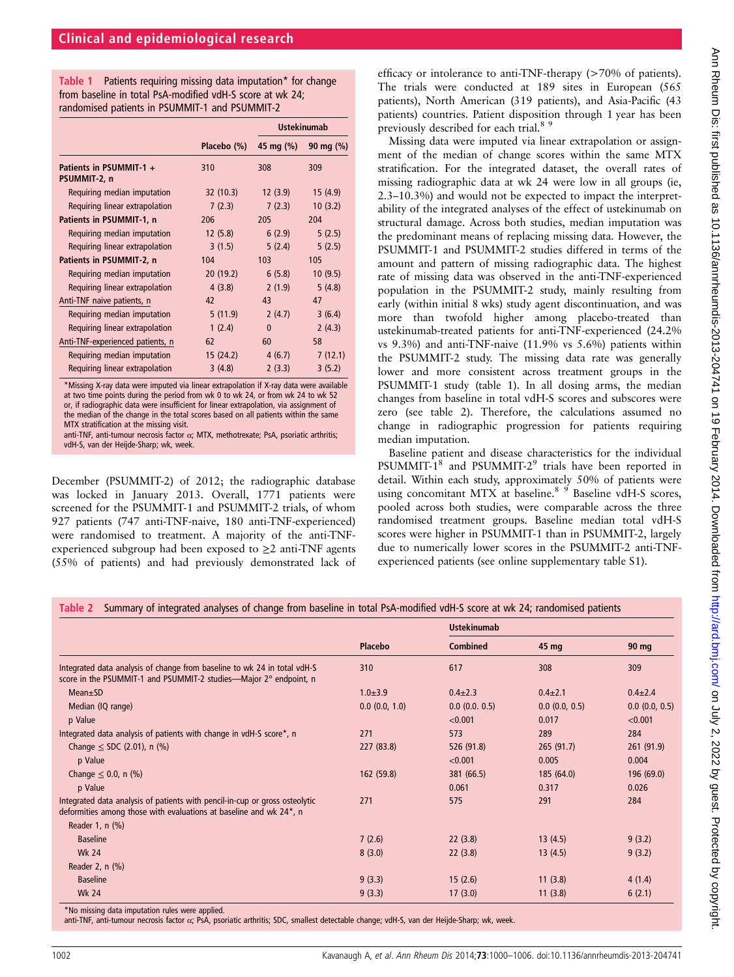Table 1 Patients requiring missing data imputation\* for change from baseline in total PsA-modified vdH-S score at wk 24; randomised patients in PSUMMIT-1 and PSUMMIT-2

|                                         |             | <b>Ustekinumab</b> |               |
|-----------------------------------------|-------------|--------------------|---------------|
|                                         | Placebo (%) | 45 mg (%)          | 90 mg $(\% )$ |
| Patients in PSUMMIT-1 +<br>PSUMMIT-2, n | 310         | 308                | 309           |
| Requiring median imputation             | 32(10.3)    | 12(3.9)            | 15(4.9)       |
| Requiring linear extrapolation          | 7(2.3)      | 7(2.3)             | 10(3.2)       |
| Patients in PSUMMIT-1, n                | 206         | 205                | 204           |
| Requiring median imputation             | 12(5.8)     | 6(2.9)             | 5(2.5)        |
| Requiring linear extrapolation          | 3(1.5)      | 5(2.4)             | 5(2.5)        |
| Patients in PSUMMIT-2, n                | 104         | 103                | 105           |
| Requiring median imputation             | 20(19.2)    | 6(5.8)             | 10(9.5)       |
| Requiring linear extrapolation          | 4(3.8)      | 2(1.9)             | 5(4.8)        |
| Anti-TNF naive patients, n              | 42          | 43                 | 47            |
| Requiring median imputation             | 5(11.9)     | 2(4.7)             | 3(6.4)        |
| Requiring linear extrapolation          | 1(2.4)      | $\mathbf{0}$       | 2(4.3)        |
| Anti-TNF-experienced patients, n        | 62          | 60                 | 58            |
| Requiring median imputation             | 15(24.2)    | 4(6.7)             | 7(12.1)       |
| Requiring linear extrapolation          | 3(4.8)      | 2(3.3)             | 3(5.2)        |

\*Missing X-ray data were imputed via linear extrapolation if X-ray data were available at two time points during the period from wk 0 to wk 24, or from wk 24 to wk 52 or, if radiographic data were insufficient for linear extrapolation, via assignment of the median of the change in the total scores based on all patients within the same MTX stratification at the missing visit.

December (PSUMMIT-2) of 2012; the radiographic database was locked in January 2013. Overall, 1771 patients were screened for the PSUMMIT-1 and PSUMMIT-2 trials, of whom 927 patients (747 anti-TNF-naive, 180 anti-TNF-experienced) were randomised to treatment. A majority of the anti-TNFexperienced subgroup had been exposed to  $\geq 2$  anti-TNF agents (55% of patients) and had previously demonstrated lack of efficacy or intolerance to anti-TNF-therapy (>70% of patients). The trials were conducted at 189 sites in European (565 patients), North American (319 patients), and Asia-Pacific (43 patients) countries. Patient disposition through 1 year has been previously described for each trial.<sup>8</sup><sup>9</sup>

Missing data were imputed via linear extrapolation or assignment of the median of change scores within the same MTX stratification. For the integrated dataset, the overall rates of missing radiographic data at wk 24 were low in all groups (ie, 2.3–10.3%) and would not be expected to impact the interpretability of the integrated analyses of the effect of ustekinumab on structural damage. Across both studies, median imputation was the predominant means of replacing missing data. However, the PSUMMIT-1 and PSUMMIT-2 studies differed in terms of the amount and pattern of missing radiographic data. The highest rate of missing data was observed in the anti-TNF-experienced population in the PSUMMIT-2 study, mainly resulting from early (within initial 8 wks) study agent discontinuation, and was more than twofold higher among placebo-treated than ustekinumab-treated patients for anti-TNF-experienced (24.2% vs 9.3%) and anti-TNF-naive (11.9% vs 5.6%) patients within the PSUMMIT-2 study. The missing data rate was generally lower and more consistent across treatment groups in the PSUMMIT-1 study (table 1). In all dosing arms, the median changes from baseline in total vdH-S scores and subscores were zero (see table 2). Therefore, the calculations assumed no change in radiographic progression for patients requiring median imputation.

Baseline patient and disease characteristics for the individual PSUMMIT-1<sup>8</sup> and PSUMMIT-2<sup>9</sup> trials have been reported in detail. Within each study, approximately 50% of patients were using concomitant MTX at baseline.<sup>8</sup> <sup>9</sup> Baseline vdH-S scores, pooled across both studies, were comparable across the three randomised treatment groups. Baseline median total vdH-S scores were higher in PSUMMIT-1 than in PSUMMIT-2, largely due to numerically lower scores in the PSUMMIT-2 anti-TNFexperienced patients (see online supplementary table S1).

|  |  |  | Table 2 Summary of integrated analyses of change from baseline in total PsA-modified vdH-S score at wk 24; randomised patients |
|--|--|--|--------------------------------------------------------------------------------------------------------------------------------|
|--|--|--|--------------------------------------------------------------------------------------------------------------------------------|

|                                                                                                                                                   | <b>Placebo</b>     | <b>Ustekinumab</b> |               |                    |
|---------------------------------------------------------------------------------------------------------------------------------------------------|--------------------|--------------------|---------------|--------------------|
|                                                                                                                                                   |                    | <b>Combined</b>    | 45 mg         | 90 mg              |
| Integrated data analysis of change from baseline to wk 24 in total vdH-S<br>score in the PSUMMIT-1 and PSUMMIT-2 studies—Major 2° endpoint, n     | 310                | 617                | 308           | 309                |
| $Mean \pm SD$                                                                                                                                     | $1.0 + 3.9$        | $0.4 \pm 2.3$      | $0.4 \pm 2.1$ | $0.4 \pm 2.4$      |
| Median (IQ range)                                                                                                                                 | $0.0$ $(0.0, 1.0)$ | $0.0$ (0.0, 0.5)   | 0.0(0.0, 0.5) | $0.0$ $(0.0, 0.5)$ |
| p Value                                                                                                                                           |                    | < 0.001            | 0.017         | < 0.001            |
| Integrated data analysis of patients with change in vdH-S score*, n                                                                               | 271                | 573                | 289           | 284                |
| Change $\le$ SDC (2.01), n (%)                                                                                                                    | 227 (83.8)         | 526 (91.8)         | 265(91.7)     | 261(91.9)          |
| p Value                                                                                                                                           |                    | < 0.001            | 0.005         | 0.004              |
| Change $\leq 0.0$ , n (%)                                                                                                                         | 162(59.8)          | 381 (66.5)         | 185 (64.0)    | 196 (69.0)         |
| p Value                                                                                                                                           |                    | 0.061              | 0.317         | 0.026              |
| Integrated data analysis of patients with pencil-in-cup or gross osteolytic<br>deformities among those with evaluations at baseline and wk 24*, n | 271                | 575                | 291           | 284                |
| Reader 1, n (%)                                                                                                                                   |                    |                    |               |                    |
| <b>Baseline</b>                                                                                                                                   | 7(2.6)             | 22(3.8)            | 13(4.5)       | 9(3.2)             |
| <b>Wk 24</b>                                                                                                                                      | 8(3.0)             | 22(3.8)            | 13(4.5)       | 9(3.2)             |
| Reader 2, n (%)                                                                                                                                   |                    |                    |               |                    |
| <b>Baseline</b>                                                                                                                                   | 9(3.3)             | 15(2.6)            | 11(3.8)       | 4(1.4)             |
| <b>Wk 24</b>                                                                                                                                      | 9(3.3)             | 17(3.0)            | 11(3.8)       | 6(2.1)             |
| *No missing data imputation rules were applied                                                                                                    |                    |                    |               |                    |

\*No missing data imputation rules were applied.<br>anti-TNF, anti-tumour necrosis factor α; PsA, psoriatic arthritis; SDC, smallest detectable change; vdH-S, van der Heijde-Sharp; wk, week.

Ann Rheum Dis: first published as 10.1136/anntheumdis-2013-204741 on 19 February 2014. Downloaded from http://ard.bmj.com/ on July 2, 2022 by guest. Protected by copyright Ann Pheum Dis: first published as 10.1136/annrheumdis-2013-204741 on 19 February 2014. Downloaded from http://ard.bm/ Ann Ann Rheumdis-2013-204741 on 19 February 2022 by guest. Protected by copyright.

anti-TNF, anti-tumour necrosis factor  $\alpha$ ; MTX, methotrexate; PsA, psoriatic arthritis; vdH-S, van der Heijde-Sharp; wk, week.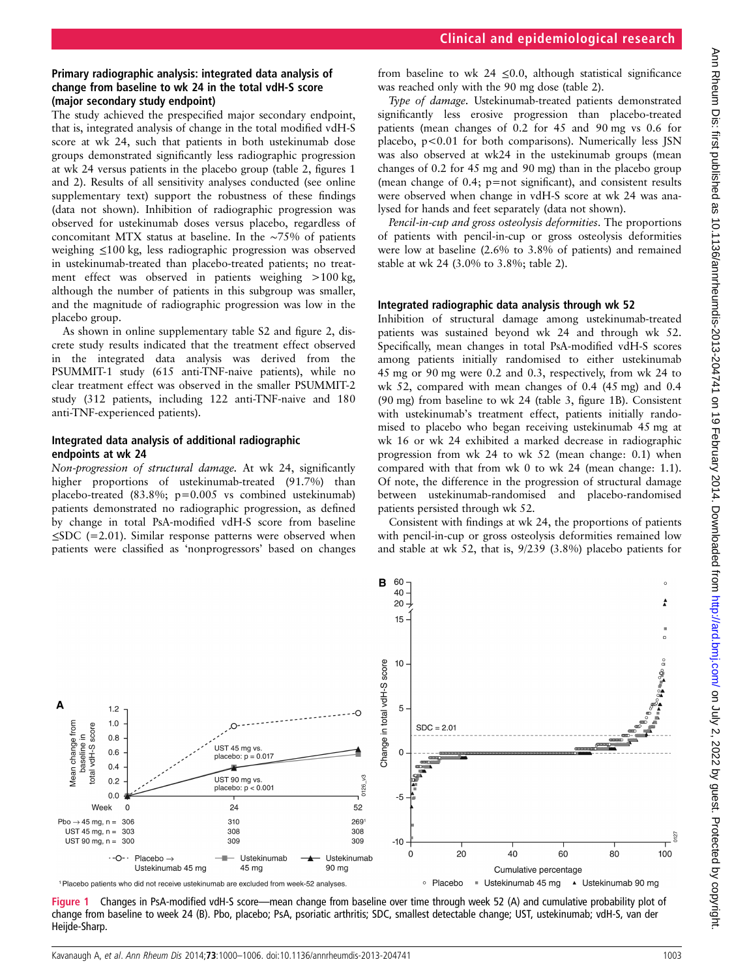## Primary radiographic analysis: integrated data analysis of change from baseline to wk 24 in the total vdH-S score (major secondary study endpoint)

The study achieved the prespecified major secondary endpoint, that is, integrated analysis of change in the total modified vdH-S score at wk 24, such that patients in both ustekinumab dose groups demonstrated significantly less radiographic progression at wk 24 versus patients in the placebo group (table 2, figures 1 and 2). Results of all sensitivity analyses conducted (see online supplementary text) support the robustness of these findings (data not shown). Inhibition of radiographic progression was observed for ustekinumab doses versus placebo, regardless of concomitant MTX status at baseline. In the ∼75% of patients weighing ≤100 kg, less radiographic progression was observed in ustekinumab-treated than placebo-treated patients; no treatment effect was observed in patients weighing >100 kg, although the number of patients in this subgroup was smaller, and the magnitude of radiographic progression was low in the placebo group.

As shown in online supplementary table S2 and figure 2, discrete study results indicated that the treatment effect observed in the integrated data analysis was derived from the PSUMMIT-1 study (615 anti-TNF-naive patients), while no clear treatment effect was observed in the smaller PSUMMIT-2 study (312 patients, including 122 anti-TNF-naive and 180 anti-TNF-experienced patients).

## Integrated data analysis of additional radiographic endpoints at wk 24

Non-progression of structural damage. At wk 24, significantly higher proportions of ustekinumab-treated (91.7%) than placebo-treated (83.8%; p=0.005 vs combined ustekinumab) patients demonstrated no radiographic progression, as defined by change in total PsA-modified vdH-S score from baseline  $\leq$ SDC (=2.01). Similar response patterns were observed when patients were classified as 'nonprogressors' based on changes

from baseline to wk 24  $\leq$ 0.0, although statistical significance was reached only with the 90 mg dose (table 2).

Type of damage. Ustekinumab-treated patients demonstrated significantly less erosive progression than placebo-treated patients (mean changes of 0.2 for 45 and 90 mg vs 0.6 for placebo, p<0.01 for both comparisons). Numerically less JSN was also observed at wk24 in the ustekinumab groups (mean changes of 0.2 for 45 mg and 90 mg) than in the placebo group (mean change of 0.4; p=not significant), and consistent results were observed when change in vdH-S score at wk 24 was analysed for hands and feet separately (data not shown).

Pencil-in-cup and gross osteolysis deformities. The proportions of patients with pencil-in-cup or gross osteolysis deformities were low at baseline (2.6% to 3.8% of patients) and remained stable at wk 24 (3.0% to 3.8%; table 2).

## Integrated radiographic data analysis through wk 52

Inhibition of structural damage among ustekinumab-treated patients was sustained beyond wk 24 and through wk 52. Specifically, mean changes in total PsA-modified vdH-S scores among patients initially randomised to either ustekinumab 45 mg or 90 mg were 0.2 and 0.3, respectively, from wk 24 to wk 52, compared with mean changes of 0.4 (45 mg) and 0.4 (90 mg) from baseline to wk 24 (table 3, figure 1B). Consistent with ustekinumab's treatment effect, patients initially randomised to placebo who began receiving ustekinumab 45 mg at wk 16 or wk 24 exhibited a marked decrease in radiographic progression from wk 24 to wk 52 (mean change: 0.1) when compared with that from wk 0 to wk 24 (mean change: 1.1). Of note, the difference in the progression of structural damage between ustekinumab-randomised and placebo-randomised patients persisted through wk 52.

Consistent with findings at wk 24, the proportions of patients with pencil-in-cup or gross osteolysis deformities remained low and stable at wk 52, that is, 9/239 (3.8%) placebo patients for



Figure 1 Changes in PsA-modified vdH-S score—mean change from baseline over time through week 52 (A) and cumulative probability plot of change from baseline to week 24 (B). Pbo, placebo; PsA, psoriatic arthritis; SDC, smallest detectable change; UST, ustekinumab; vdH-S, van der Heijde-Sharp.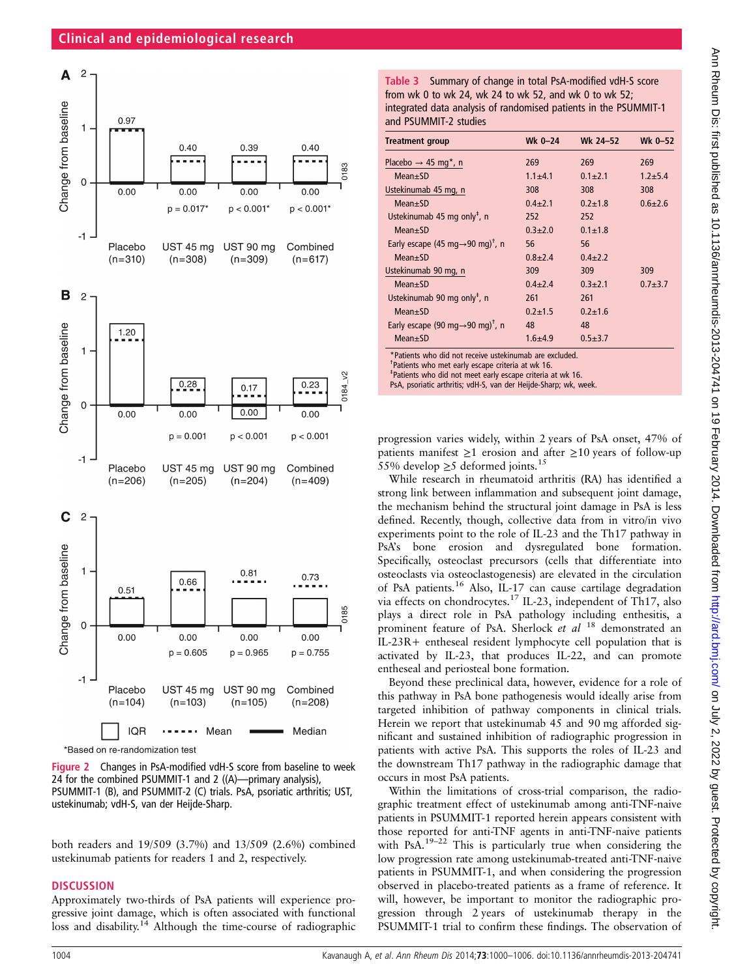## Clinical and epidemiological research



\*Based on re-randomization test

Figure 2 Changes in PsA-modified vdH-S score from baseline to week 24 for the combined PSUMMIT-1 and 2 ((A)—primary analysis), PSUMMIT-1 (B), and PSUMMIT-2 (C) trials. PsA, psoriatic arthritis; UST, ustekinumab; vdH-S, van der Heijde-Sharp.

both readers and 19/509 (3.7%) and 13/509 (2.6%) combined ustekinumab patients for readers 1 and 2, respectively.

## **DISCUSSION**

Approximately two-thirds of PsA patients will experience progressive joint damage, which is often associated with functional loss and disability.<sup>14</sup> Although the time-course of radiographic

Table 3 Summary of change in total PsA-modified vdH-S score from wk 0 to wk 24, wk 24 to wk 52, and wk 0 to wk 52; integrated data analysis of randomised patients in the PSUMMIT-1 and PSUMMIT-2 studies

| <b>Treatment group</b>                                                                                                                                                                                                                                                 | Wk $0 - 24$ | Wk 24-52      | Wk 0–52     |  |
|------------------------------------------------------------------------------------------------------------------------------------------------------------------------------------------------------------------------------------------------------------------------|-------------|---------------|-------------|--|
| Placebo $\rightarrow$ 45 mg <sup>*</sup> , n                                                                                                                                                                                                                           | 269         | 269           | 269         |  |
| $Mean+SD$                                                                                                                                                                                                                                                              | $1.1 + 4.1$ | $0.1 + 2.1$   | $1.2 + 5.4$ |  |
| Ustekinumab 45 mg, n                                                                                                                                                                                                                                                   | 308         | 308           | 308         |  |
| $Mean \pm SD$                                                                                                                                                                                                                                                          | $0.4 + 2.1$ | $0.2 + 1.8$   | $0.6 + 2.6$ |  |
| Ustekinumab 45 mg only <sup>+</sup> , n                                                                                                                                                                                                                                | 252         | 252           |             |  |
| $Mean+SD$                                                                                                                                                                                                                                                              | $0.3 + 2.0$ | $0.1 \pm 1.8$ |             |  |
| Early escape (45 mg $\rightarrow$ 90 mg) <sup>†</sup> , n                                                                                                                                                                                                              | 56          | 56            |             |  |
| $Mean \pm SD$                                                                                                                                                                                                                                                          | $0.8 + 2.4$ | $0.4 + 2.2$   |             |  |
| Ustekinumab 90 mg, n                                                                                                                                                                                                                                                   | 309         | 309           | 309         |  |
| $Mean \pm SD$                                                                                                                                                                                                                                                          | $0.4 + 2.4$ | $0.3 + 2.1$   | $0.7 + 3.7$ |  |
| Ustekinumab 90 mg only <sup>+</sup> , n                                                                                                                                                                                                                                | 261         | 261           |             |  |
| $Mean+SD$                                                                                                                                                                                                                                                              | $0.2 + 1.5$ | $0.2 \pm 1.6$ |             |  |
| Early escape (90 mg $\rightarrow$ 90 mg) <sup>†</sup> , n                                                                                                                                                                                                              | 48          | 48            |             |  |
| $Mean \pm SD$                                                                                                                                                                                                                                                          | $1.6 + 4.9$ | $0.5 \pm 3.7$ |             |  |
| *Patients who did not receive ustekinumab are excluded.<br><sup>T</sup> Patients who met early escape criteria at wk 16.<br><sup>‡</sup> Patients who did not meet early escape criteria at wk 16.<br>PsA, psoriatic arthritis; vdH-S, van der Heijde-Sharp; wk, week. |             |               |             |  |

progression varies widely, within 2 years of PsA onset, 47% of patients manifest  $\geq 1$  erosion and after  $\geq 10$  years of follow-up 55% develop  $\geq$ 5 deformed joints.<sup>15</sup>

While research in rheumatoid arthritis (RA) has identified a strong link between inflammation and subsequent joint damage, the mechanism behind the structural joint damage in PsA is less defined. Recently, though, collective data from in vitro/in vivo experiments point to the role of IL-23 and the Th17 pathway in PsA's bone erosion and dysregulated bone formation. Specifically, osteoclast precursors (cells that differentiate into osteoclasts via osteoclastogenesis) are elevated in the circulation of PsA patients.16 Also, IL-17 can cause cartilage degradation via effects on chondrocytes.17 IL-23, independent of Th17, also plays a direct role in PsA pathology including enthesitis, a prominent feature of PsA. Sherlock et al <sup>18</sup> demonstrated an IL-23R+ entheseal resident lymphocyte cell population that is activated by IL-23, that produces IL-22, and can promote entheseal and periosteal bone formation.

Beyond these preclinical data, however, evidence for a role of this pathway in PsA bone pathogenesis would ideally arise from targeted inhibition of pathway components in clinical trials. Herein we report that ustekinumab 45 and 90 mg afforded significant and sustained inhibition of radiographic progression in patients with active PsA. This supports the roles of IL-23 and the downstream Th17 pathway in the radiographic damage that occurs in most PsA patients.

Within the limitations of cross-trial comparison, the radiographic treatment effect of ustekinumab among anti-TNF-naive patients in PSUMMIT-1 reported herein appears consistent with those reported for anti-TNF agents in anti-TNF-naive patients with PsA.<sup>19-22</sup> This is particularly true when considering the low progression rate among ustekinumab-treated anti-TNF-naive patients in PSUMMIT-1, and when considering the progression observed in placebo-treated patients as a frame of reference. It will, however, be important to monitor the radiographic progression through 2 years of ustekinumab therapy in the PSUMMIT-1 trial to confirm these findings. The observation of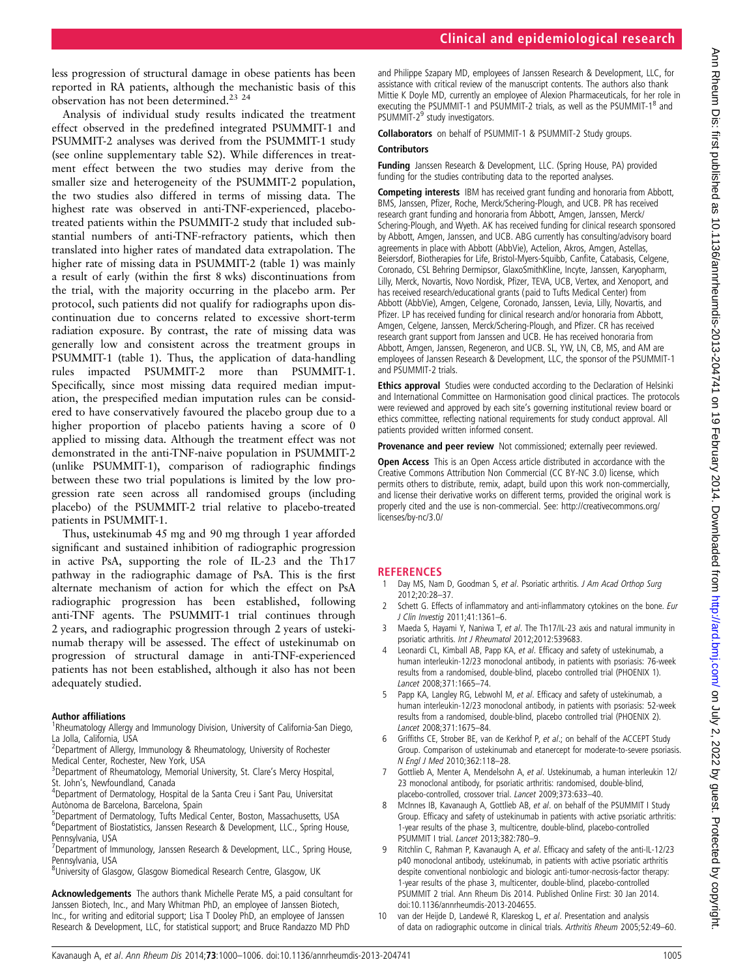less progression of structural damage in obese patients has been reported in RA patients, although the mechanistic basis of this observation has not been determined.23 24

Analysis of individual study results indicated the treatment effect observed in the predefined integrated PSUMMIT-1 and PSUMMIT-2 analyses was derived from the PSUMMIT-1 study (see online supplementary table S2). While differences in treatment effect between the two studies may derive from the smaller size and heterogeneity of the PSUMMIT-2 population, the two studies also differed in terms of missing data. The highest rate was observed in anti-TNF-experienced, placebotreated patients within the PSUMMIT-2 study that included substantial numbers of anti-TNF-refractory patients, which then translated into higher rates of mandated data extrapolation. The higher rate of missing data in PSUMMIT-2 (table 1) was mainly a result of early (within the first 8 wks) discontinuations from the trial, with the majority occurring in the placebo arm. Per protocol, such patients did not qualify for radiographs upon discontinuation due to concerns related to excessive short-term radiation exposure. By contrast, the rate of missing data was generally low and consistent across the treatment groups in PSUMMIT-1 (table 1). Thus, the application of data-handling rules impacted PSUMMIT-2 more than PSUMMIT-1. Specifically, since most missing data required median imputation, the prespecified median imputation rules can be considered to have conservatively favoured the placebo group due to a higher proportion of placebo patients having a score of 0 applied to missing data. Although the treatment effect was not demonstrated in the anti-TNF-naive population in PSUMMIT-2 (unlike PSUMMIT-1), comparison of radiographic findings between these two trial populations is limited by the low progression rate seen across all randomised groups (including placebo) of the PSUMMIT-2 trial relative to placebo-treated patients in PSUMMIT-1.

Thus, ustekinumab 45 mg and 90 mg through 1 year afforded significant and sustained inhibition of radiographic progression in active PsA, supporting the role of IL-23 and the Th17 pathway in the radiographic damage of PsA. This is the first alternate mechanism of action for which the effect on PsA radiographic progression has been established, following anti-TNF agents. The PSUMMIT-1 trial continues through 2 years, and radiographic progression through 2 years of ustekinumab therapy will be assessed. The effect of ustekinumab on progression of structural damage in anti-TNF-experienced patients has not been established, although it also has not been adequately studied.

### Author affiliations <sup>1</sup>

- <sup>1</sup>Rheumatology Allergy and Immunology Division, University of California-San Diego, La Jolla, California, USA
- <sup>2</sup> Department of Allergy, Immunology & Rheumatology, University of Rochester Medical Center, Rochester, New York, USA
- <sup>3</sup>Department of Rheumatology, Memorial University, St. Clare's Mercy Hospital, St. John's, Newfoundland, Canada
- <sup>4</sup>Department of Dermatology, Hospital de la Santa Creu i Sant Pau, Universitat Autònoma de Barcelona, Barcelona, Spain
- 5 Department of Dermatology, Tufts Medical Center, Boston, Massachusetts, USA
- <sup>6</sup>Department of Biostatistics, Janssen Research & Development, LLC., Spring House, Pennsylvania, USA
- <sup>7</sup>Department of Immunology, Janssen Research & Development, LLC., Spring House, Pennsylvania, USA
- <sup>8</sup>University of Glasgow, Glasgow Biomedical Research Centre, Glasgow, UK

Acknowledgements The authors thank Michelle Perate MS, a paid consultant for Janssen Biotech, Inc., and Mary Whitman PhD, an employee of Janssen Biotech, Inc., for writing and editorial support; Lisa T Dooley PhD, an employee of Janssen Research & Development, LLC, for statistical support; and Bruce Randazzo MD PhD

and Philippe Szapary MD, employees of Janssen Research & Development, LLC, for assistance with critical review of the manuscript contents. The authors also thank Mittie K Doyle MD, currently an employee of Alexion Pharmaceuticals, for her role in executing the PSUMMIT-1 and PSUMMIT-2 trials, as well as the PSUMMIT-1<sup>8</sup> and PSUMMIT-2<sup>9</sup> study investigators.

Collaborators on behalf of PSUMMIT-1 & PSUMMIT-2 Study groups.

#### **Contributors**

Funding Janssen Research & Development, LLC. (Spring House, PA) provided funding for the studies contributing data to the reported analyses.

Competing interests IBM has received grant funding and honoraria from Abbott, BMS, Janssen, Pfizer, Roche, Merck/Schering-Plough, and UCB. PR has received research grant funding and honoraria from Abbott, Amgen, Janssen, Merck/ Schering-Plough, and Wyeth. AK has received funding for clinical research sponsored by Abbott, Amgen, Janssen, and UCB. ABG currently has consulting/advisory board agreements in place with Abbott (AbbVie), Actelion, Akros, Amgen, Astellas, Beiersdorf, Biotherapies for Life, Bristol-Myers-Squibb, Canfite, Catabasis, Celgene, Coronado, CSL Behring Dermipsor, GlaxoSmithKline, Incyte, Janssen, Karyopharm, Lilly, Merck, Novartis, Novo Nordisk, Pfizer, TEVA, UCB, Vertex, and Xenoport, and has received research/educational grants (paid to Tufts Medical Center) from Abbott (AbbVie), Amgen, Celgene, Coronado, Janssen, Levia, Lilly, Novartis, and Pfizer. LP has received funding for clinical research and/or honoraria from Abbott, Amgen, Celgene, Janssen, Merck/Schering-Plough, and Pfizer. CR has received research grant support from Janssen and UCB. He has received honoraria from Abbott, Amgen, Janssen, Regeneron, and UCB. SL, YW, LN, CB, MS, and AM are employees of Janssen Research & Development, LLC, the sponsor of the PSUMMIT-1 and PSUMMIT-2 trials.

Ethics approval Studies were conducted according to the Declaration of Helsinki and International Committee on Harmonisation good clinical practices. The protocols were reviewed and approved by each site's governing institutional review board or ethics committee, reflecting national requirements for study conduct approval. All patients provided written informed consent.

Provenance and peer review Not commissioned; externally peer reviewed.

Open Access This is an Open Access article distributed in accordance with the Creative Commons Attribution Non Commercial (CC BY-NC 3.0) license, which permits others to distribute, remix, adapt, build upon this work non-commercially, and license their derivative works on different terms, provided the original work is properly cited and the use is non-commercial. See: http://creativecommons.org/ licenses/by-nc/3.0/

### **REFERENCES**

- 1 Day MS, Nam D, Goodman S, et al. Psoriatic arthritis. J Am Acad Orthop Surg 2012;20:28–37.
- Schett G. Effects of inflammatory and anti-inflammatory cytokines on the bone. Eur J Clin Investig 2011;41:1361–6.
- 3 Maeda S, Hayami Y, Naniwa T, et al. The Th17/IL-23 axis and natural immunity in psoriatic arthritis. Int J Rheumatol 2012;2012:539683.
- 4 Leonardi CL, Kimball AB, Papp KA, et al. Efficacy and safety of ustekinumab, a human interleukin-12/23 monoclonal antibody, in patients with psoriasis: 76-week results from a randomised, double-blind, placebo controlled trial (PHOENIX 1). Lancet 2008;371:1665–74.
- 5 Papp KA, Langley RG, Lebwohl M, et al. Efficacy and safety of ustekinumab, a human interleukin-12/23 monoclonal antibody, in patients with psoriasis: 52-week results from a randomised, double-blind, placebo controlled trial (PHOENIX 2). Lancet 2008;371:1675–84.
- Griffiths CE, Strober BE, van de Kerkhof P, et al.; on behalf of the ACCEPT Study Group. Comparison of ustekinumab and etanercept for moderate-to-severe psoriasis. N Engl J Med 2010;362:118–28.
- 7 Gottlieb A, Menter A, Mendelsohn A, et al. Ustekinumab, a human interleukin 12/ 23 monoclonal antibody, for psoriatic arthritis: randomised, double-blind, placebo-controlled, crossover trial. Lancet 2009;373:633–40.
- 8 McInnes IB, Kavanaugh A, Gottlieb AB, et al. on behalf of the PSUMMIT I Study Group. Efficacy and safety of ustekinumab in patients with active psoriatic arthritis: 1-year results of the phase 3, multicentre, double-blind, placebo-controlled PSUMMIT I trial. Lancet 2013;382:780–9.
- Ritchlin C, Rahman P, Kavanaugh A, et al. Efficacy and safety of the anti-IL-12/23 p40 monoclonal antibody, ustekinumab, in patients with active psoriatic arthritis despite conventional nonbiologic and biologic anti-tumor-necrosis-factor therapy: 1-year results of the phase 3, multicenter, double-blind, placebo-controlled PSUMMIT 2 trial. Ann Rheum Dis 2014. Published Online First: 30 Jan 2014. doi:10.1136/annrheumdis-2013-204655.
- 10 van der Heijde D, Landewé R, Klareskog L, et al. Presentation and analysis of data on radiographic outcome in clinical trials. Arthritis Rheum 2005;52:49–60.